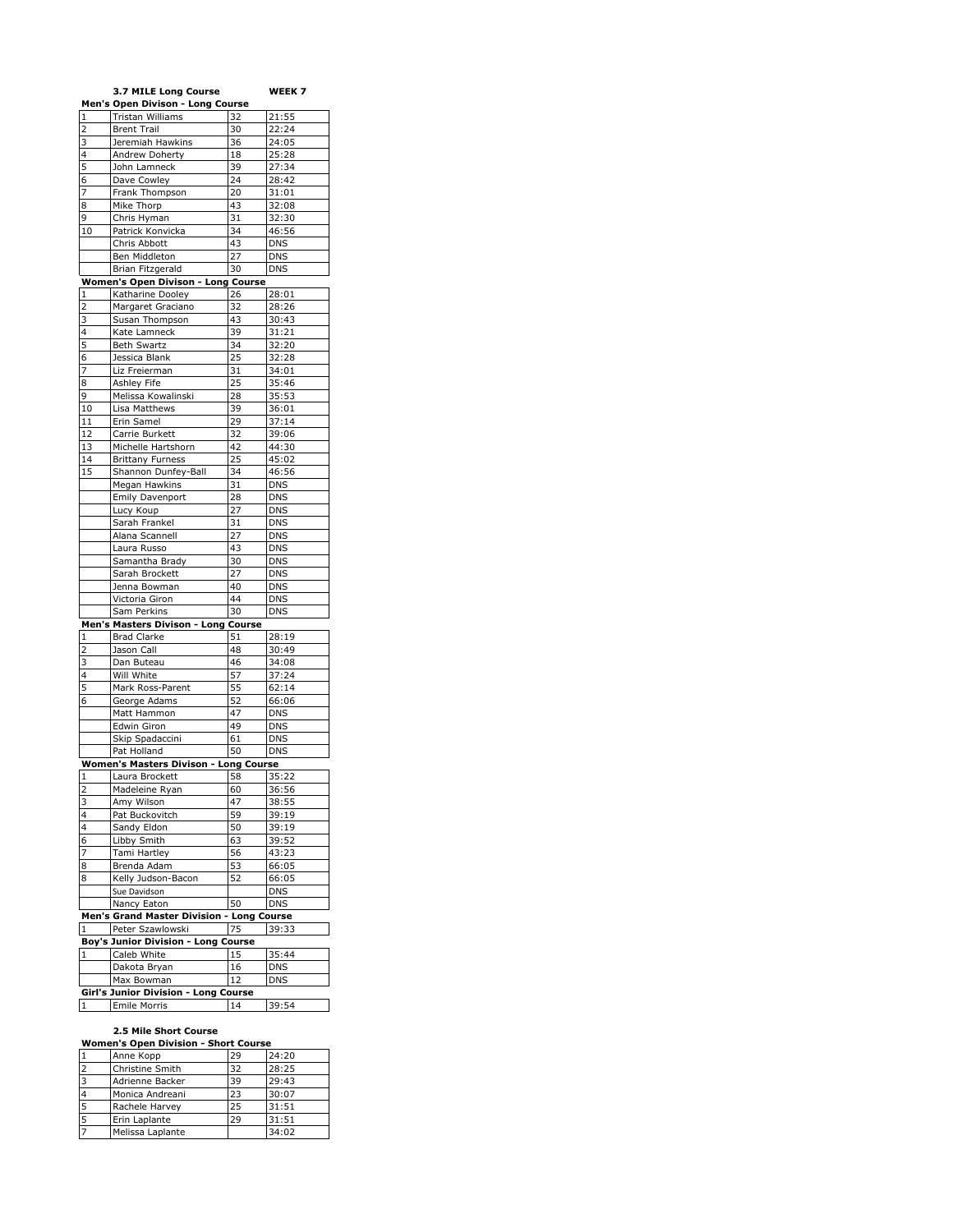|                         | 3.7 MILE Long Course                      |        | WEEK 7     |
|-------------------------|-------------------------------------------|--------|------------|
|                         | Men's Open Divison - Long Course          |        |            |
| 1                       | Tristan Williams                          | 32     | 21:55      |
| 2                       | <b>Brent Trail</b>                        | 30     | 22:24      |
| 3                       | Jeremiah Hawkins                          | 36     | 24:05      |
| 4                       | Andrew Doherty                            | 18     | 25:28      |
| 5                       | John Lamneck                              | 39     | 27:34      |
| 6                       | Dave Cowley                               | 24     | 28:42      |
| 7                       | Frank Thompson                            | 20     | 31:01      |
| 8                       |                                           | 43     |            |
|                         | Mike Thorp                                |        | 32:08      |
| 9                       | Chris Hyman                               | 31     | 32:30      |
| 10                      | Patrick Konvicka                          | 34     | 46:56      |
|                         | Chris Abbott                              | 43     | <b>DNS</b> |
|                         | Ben Middleton                             | 27     | <b>DNS</b> |
|                         | <b>Brian Fitzgerald</b>                   | 30     | <b>DNS</b> |
|                         | Women's Open Divison - Long Course        |        |            |
| 1                       | Katharine Dooley                          | 26     | 28:01      |
| 2                       | Margaret Graciano                         | 32     | 28:26      |
| 3                       | Susan Thompson                            | 43     | 30:43      |
| 4                       | Kate Lamneck                              | 39     | 31:21      |
| 5                       | <b>Beth Swartz</b>                        | 34     | 32:20      |
| 6                       | Jessica Blank                             | 25     | 32:28      |
| 7                       |                                           | 31     | 34:01      |
|                         | Liz Freierman                             |        |            |
| 8                       | Ashley Fife                               | 25     | 35:46      |
| 9                       | Melissa Kowalinski                        | 28     | 35:53      |
| 10                      | Lisa Matthews                             | 39     | 36:01      |
| 11                      | Erin Samel                                | 29     | 37:14      |
| 12                      | Carrie Burkett                            | 32     | 39:06      |
| 13                      | Michelle Hartshorn                        | 42     | 44:30      |
| 14                      | <b>Brittany Furness</b>                   | 25     | 45:02      |
| 15                      | Shannon Dunfey-Ball                       | 34     | 46:56      |
|                         | Megan Hawkins                             | 31     | <b>DNS</b> |
|                         | Emily Davenport                           | 28     | DNS        |
|                         | Lucy Koup                                 | 27     | <b>DNS</b> |
|                         | Sarah Frankel                             | 31     | <b>DNS</b> |
|                         |                                           |        |            |
|                         | Alana Scannell                            | 27     | <b>DNS</b> |
|                         | Laura Russo                               | 43     | <b>DNS</b> |
|                         | Samantha Brady                            | 30     | <b>DNS</b> |
|                         | Sarah Brockett                            | 27     | <b>DNS</b> |
|                         | Jenna Bowman                              | 40     | <b>DNS</b> |
|                         | Victoria Giron                            | 44     | <b>DNS</b> |
|                         | Sam Perkins                               | 30     | <b>DNS</b> |
|                         | Men's Masters Divison - Long              | Course |            |
| 1                       | <b>Brad Clarke</b>                        | 51     | 28:19      |
| 2                       | Jason Call                                | 48     | 30:49      |
| 3                       | Dan Buteau                                | 46     | 34:08      |
| 4                       | Will White                                | 57     | 37:24      |
| 5                       | Mark Ross-Parent                          | 55     | 62:14      |
| 6                       | George Adams                              | 52     | 66:06      |
|                         | Matt Hammon                               |        |            |
|                         |                                           | 47     | <b>DNS</b> |
|                         | Edwin Giron                               | 49     | <b>DNS</b> |
|                         | Skip Spadaccini                           | 61     | <b>DNS</b> |
|                         | Pat Holland                               | 50     | <b>DNS</b> |
|                         | Women's Masters Divison - Long Course     |        |            |
| 1                       | Laura Brockett                            | 58     | 35:22      |
| $\overline{\mathbf{c}}$ | Madeleine Ryan                            | 60     | 36:56      |
| 3                       | Amy Wilson                                | 47     | 38:55      |
| 4                       | Pat Buckovitch                            | 59     | 39:19      |
| 4                       | Sandy Eldon                               | 50     | 39:19      |
| 6                       | Libby Smith                               | 63     | 39:52      |
| 7                       | Tami Hartley                              | 56     | 43:23      |
| 8                       | Brenda Adam                               | 53     | 66:05      |
|                         | Kelly Judson-Bacon                        |        | 66:05      |
| 8                       |                                           | 52     |            |
|                         | Sue Davidson                              |        | <b>DNS</b> |
|                         | Nancy Eaton                               | 50     | <b>DNS</b> |
|                         | Men's Grand Master Division - Long Course |        |            |
| $\overline{1}$          | Peter Szawlowski                          | 75     | 39:33      |
|                         | Boy's Junior Division - Long Course       |        |            |
| 1                       | Caleb White                               | 15     | 35:44      |
|                         | Dakota Bryan                              | 16     | <b>DNS</b> |
|                         | Max Bowman                                | 12     | <b>DNS</b> |
|                         | Girl's Junior Division - Long Course      |        |            |
| $\mathbf{1}$            | Emile Morris                              | 14     | 39:54      |

#### **2.5 Mile Short Course**

| <b>Women's Open Division - Short Course</b> |                  |    |       |  |
|---------------------------------------------|------------------|----|-------|--|
|                                             | Anne Kopp        | 29 | 24:20 |  |
| $\overline{2}$                              | Christine Smith  | 32 | 28:25 |  |
| $\overline{\mathbf{z}}$                     | Adrienne Backer  | 39 | 29:43 |  |
|                                             | Monica Andreani  | 23 | 30:07 |  |
| 5                                           | Rachele Harvey   | 25 | 31:51 |  |
|                                             | Erin Laplante    | 29 | 31:51 |  |
|                                             | Melissa Laplante |    | 34:02 |  |